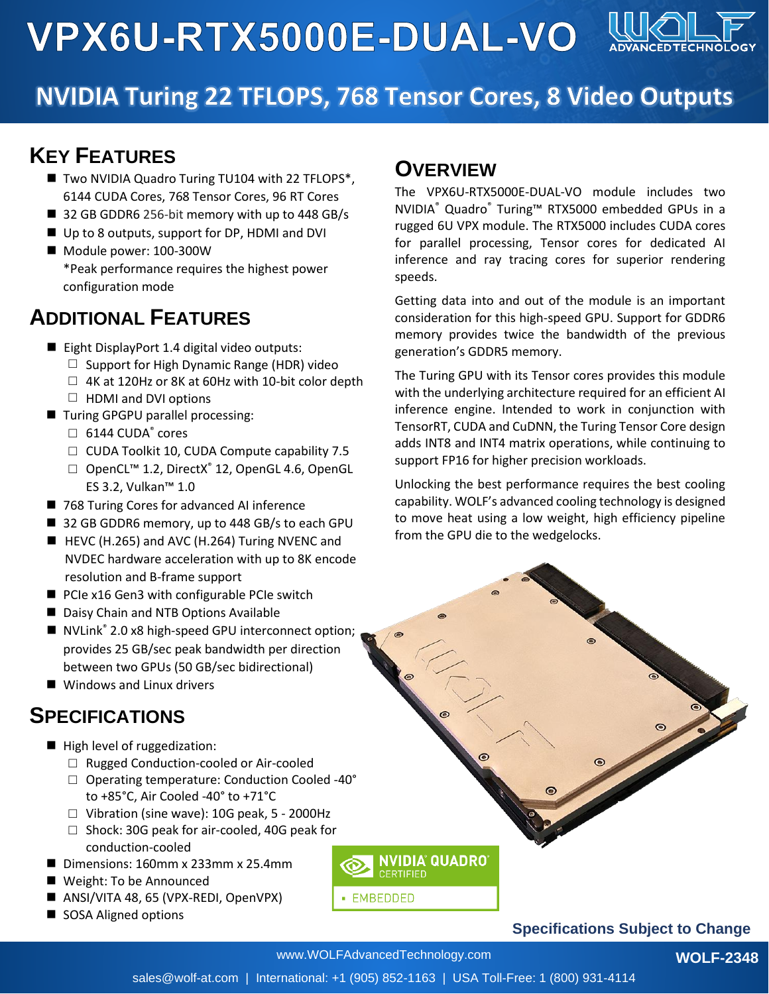**VPX6U-RTX5000E-DUAL-VO** 



# **NVIDIA Turing 22 TFLOPS, 768 Tensor Cores, 8 Video Outputs**

### **KEY FEATURES**

- Two NVIDIA Quadro Turing TU104 with 22 TFLOPS<sup>\*</sup>, 6144 CUDA Cores, 768 Tensor Cores, 96 RT Cores
- 32 GB GDDR6 256-bit memory with up to 448 GB/s
- Up to 8 outputs, support for DP, HDMI and DVI
- Module power: 100-300W \*Peak performance requires the highest power configuration mode

# **ADDITIONAL FEATURES**

- Eight DisplayPort 1.4 digital video outputs:
	- $\Box$  Support for High Dynamic Range (HDR) video
	- $\Box$  4K at 120Hz or 8K at 60Hz with 10-bit color depth  $\Box$  HDMI and DVI options
- Turing GPGPU parallel processing:
	- $\square$  6144 CUDA $^\circ$  cores
	- $\Box$  CUDA Toolkit 10, CUDA Compute capability 7.5
		- □ OpenCL<sup>™</sup> 1.2, DirectX<sup>®</sup> 12, OpenGL 4.6, OpenGL ES 3.2, Vulkan™ 1.0
- 768 Turing Cores for advanced AI inference
- 32 GB GDDR6 memory, up to 448 GB/s to each GPU
- $\blacksquare$  HEVC (H.265) and AVC (H.264) Turing NVENC and NVDEC hardware acceleration with up to 8K encode resolution and B-frame support
- PCIe x16 Gen3 with configurable PCIe switch
- Daisy Chain and NTB Options Available
- NVLink<sup>®</sup> 2.0 x8 high-speed GPU interconnect option; provides 25 GB/sec peak bandwidth per direction between two GPUs (50 GB/sec bidirectional)
- Windows and Linux drivers

### **SPECIFICATIONS**

- High level of ruggedization:
	- □ Rugged Conduction-cooled or Air-cooled
	- □ Operating temperature: Conduction Cooled -40° to +85°C, Air Cooled -40° to +71°C
	- □ Vibration (sine wave): 10G peak, 5 2000Hz
	- □ Shock: 30G peak for air-cooled, 40G peak for conduction-cooled
- Dimensions: 160mm x 233mm x 25.4mm
- Weight: To be Announced
- ANSI/VITA 48, 65 (VPX-REDI, OpenVPX)
- SOSA Aligned options

# **OVERVIEW**

The VPX6U-RTX5000E-DUAL-VO module includes two NVIDIA® Quadro® Turing™ RTX5000 embedded GPUs in a rugged 6U VPX module. The RTX5000 includes CUDA cores for parallel processing, Tensor cores for dedicated AI inference and ray tracing cores for superior rendering speeds.

Getting data into and out of the module is an important consideration for this high-speed GPU. Support for GDDR6 memory provides twice the bandwidth of the previous generation's GDDR5 memory.

The Turing GPU with its Tensor cores provides this module with the underlying architecture required for an efficient AI inference engine. Intended to work in conjunction with TensorRT, CUDA and CuDNN, the Turing Tensor Core design adds INT8 and INT4 matrix operations, while continuing to support FP16 for higher precision workloads.

Unlocking the best performance requires the best cooling capability. WOLF's advanced cooling technology is designed to move heat using a low weight, high efficiency pipeline from the GPU die to the wedgelocks.

#### **Specifications Subject to Change**

www.WOLFAdvancedTechnology.com

• EMBEDDED

**NVIDIA QUADRO** 

CERTIFIED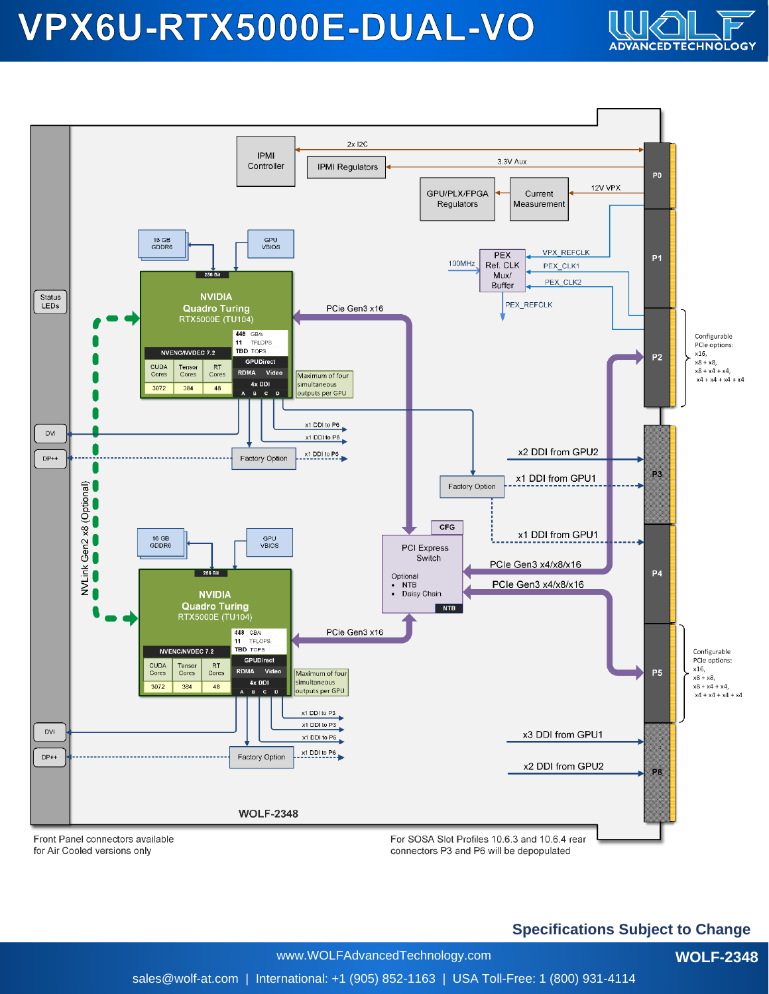# VPX6U-RTX5000E-DUAL-VO





#### **Specifications Subject to Change**

**WOLF-2348**

www.WOLFAdvancedTechnology.com

sales@wolf-at.com | International: +1 (905) 852-1163 | USA Toll-Free: 1 (800) 931-4114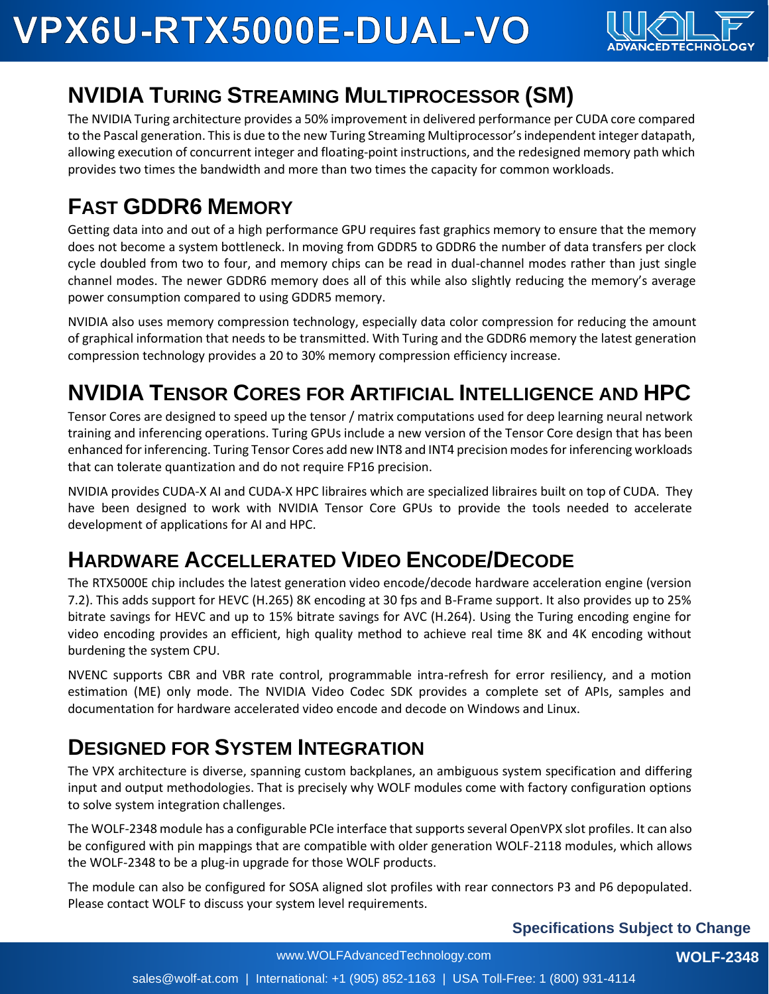

# **NVIDIA TURING STREAMING MULTIPROCESSOR (SM)**

The NVIDIA Turing architecture provides a 50% improvement in delivered performance per CUDA core compared to the Pascal generation. This is due to the new Turing Streaming Multiprocessor's independent integer datapath, allowing execution of concurrent integer and floating-point instructions, and the redesigned memory path which provides two times the bandwidth and more than two times the capacity for common workloads.

# **FAST GDDR6 MEMORY**

Getting data into and out of a high performance GPU requires fast graphics memory to ensure that the memory does not become a system bottleneck. In moving from GDDR5 to GDDR6 the number of data transfers per clock cycle doubled from two to four, and memory chips can be read in dual-channel modes rather than just single channel modes. The newer GDDR6 memory does all of this while also slightly reducing the memory's average power consumption compared to using GDDR5 memory.

NVIDIA also uses memory compression technology, especially data color compression for reducing the amount of graphical information that needs to be transmitted. With Turing and the GDDR6 memory the latest generation compression technology provides a 20 to 30% memory compression efficiency increase.

# **NVIDIA TENSOR CORES FOR ARTIFICIAL INTELLIGENCE AND HPC**

Tensor Cores are designed to speed up the tensor / matrix computations used for deep learning neural network training and inferencing operations. Turing GPUs include a new version of the Tensor Core design that has been enhanced for inferencing. Turing Tensor Cores add new INT8 and INT4 precision modes for inferencing workloads that can tolerate quantization and do not require FP16 precision.

NVIDIA provides CUDA-X AI and CUDA-X HPC libraires which are specialized libraires built on top of CUDA. They have been designed to work with NVIDIA Tensor Core GPUs to provide the tools needed to accelerate development of applications for AI and HPC.

# **HARDWARE ACCELLERATED VIDEO ENCODE/DECODE**

The RTX5000E chip includes the latest generation video encode/decode hardware acceleration engine (version 7.2). This adds support for HEVC (H.265) 8K encoding at 30 fps and B-Frame support. It also provides up to 25% bitrate savings for HEVC and up to 15% bitrate savings for AVC (H.264). Using the Turing encoding engine for video encoding provides an efficient, high quality method to achieve real time 8K and 4K encoding without burdening the system CPU.

NVENC supports CBR and VBR rate control, programmable intra-refresh for error resiliency, and a motion estimation (ME) only mode. The NVIDIA Video Codec SDK provides a complete set of APIs, samples and documentation for hardware accelerated video encode and decode on Windows and Linux.

# **DESIGNED FOR SYSTEM INTEGRATION**

The VPX architecture is diverse, spanning custom backplanes, an ambiguous system specification and differing input and output methodologies. That is precisely why WOLF modules come with factory configuration options to solve system integration challenges.

The WOLF-2348 module has a configurable PCIe interface that supports several OpenVPX slot profiles. It can also be configured with pin mappings that are compatible with older generation WOLF-2118 modules, which allows the WOLF-2348 to be a plug-in upgrade for those WOLF products.

The module can also be configured for SOSA aligned slot profiles with rear connectors P3 and P6 depopulated. Please contact WOLF to discuss your system level requirements.

**Specifications Subject to Change**